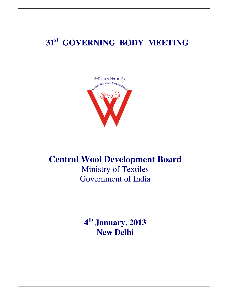# **31st GOVERNING BODY MEETING**



# **Central Wool Development Board**  Ministry of Textiles

Government of India

**4 th January, 2013 New Delhi**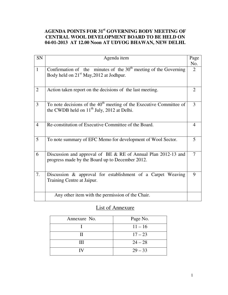## **AGENDA POINTS FOR 31st GOVERNING BODY MEETING OF CENTRAL WOOL DEVELOPMENT BOARD TO BE HELD ON 04-01-2013 AT 12.00 Noon AT UDYOG BHAWAN, NEW DELHI.**

| SN             | Agenda item                                                                                                                     | Page           |
|----------------|---------------------------------------------------------------------------------------------------------------------------------|----------------|
| $\mathbf{1}$   | Confirmation of the minutes of the $30th$ meeting of the Governing<br>Body held on 21 <sup>st</sup> May, 2012 at Jodhpur.       | No.<br>2       |
| $\overline{2}$ | Action taken report on the decisions of the last meeting.                                                                       | 2              |
| 3              | To note decisions of the 40 <sup>th</sup> meeting of the Executive Committee of<br>the CWDB held on $11th$ July, 2012 at Delhi. | 3              |
| $\overline{4}$ | Re-constitution of Executive Committee of the Board.                                                                            | $\overline{4}$ |
| 5              | To note summary of EFC Memo for development of Wool Sector.                                                                     | 5              |
| 6              | Discussion and approval of BE & RE of Annual Plan 2012-13 and<br>progress made by the Board up to December 2012.                | $\tau$         |
| 7.             | Discussion & approval for establishment of a Carpet Weaving<br>Training Centre at Jaipur.                                       | 9              |
|                | Any other item with the permission of the Chair.                                                                                |                |

## List of Annexure

| Annexure No. | Page No.  |
|--------------|-----------|
|              | $11 - 16$ |
| Н            | $17 - 23$ |
| Ш            | $24 - 28$ |
| IV           | $29 - 33$ |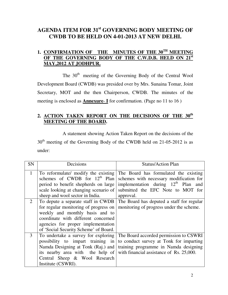## **AGENDA ITEM FOR 31st GOVERNING BODY MEETING OF CWDB TO BE HELD ON 4-01-2013 AT NEW DELHI.**

## **1. CONFIRMATION OF THE MINUTES OF THE 30TH MEETING OF THE GOVERNING BODY OF THE C.W.D.B. HELD ON 21st MAY,2012 AT JODHPUR.**

The  $30<sup>th</sup>$  meeting of the Governing Body of the Central Wool Development Board (CWDB) was presided over by Mrs. Sunaina Tomar, Joint Secretary, MOT and the then Chairperson, CWDB. The minutes of the meeting is enclosed as **Annexure**- **I** for confirmation. (Page no 11 to 16 )

## **2. ACTION TAKEN REPORT ON THE DECISIONS OF THE 30th MEETING OF THE BOARD.**

 A statement showing Action Taken Report on the decisions of the  $30<sup>th</sup>$  meeting of the Governing Body of the CWDB held on 21-05-2012 is as under:

| <b>SN</b>    | Decisions                                                                                                                                                                                                                            | <b>Status/Action Plan</b>                                                                                                                                              |
|--------------|--------------------------------------------------------------------------------------------------------------------------------------------------------------------------------------------------------------------------------------|------------------------------------------------------------------------------------------------------------------------------------------------------------------------|
| $\mathbf{1}$ | To reformulate/ modify the existing<br>schemes of CWDB for $12th$ Plan<br>period to benefit shepherds on large<br>scale looking at changing scenario of                                                                              | The Board has formulated the existing<br>schemes with necessary modification for<br>implementation during $12th$ Plan and<br>submitted the EFC Note to MOT for         |
|              | sheep and wool sector in India.                                                                                                                                                                                                      | approval.                                                                                                                                                              |
| 2            | To depute a separate staff in CWDB<br>for regular monitoring of progress on<br>weekly and monthly basis and to<br>coordinate with different concerned<br>agencies for proper implementation<br>of 'Social Security Scheme' of Board. | The Board has deputed a staff for regular<br>monitoring of progress under the scheme.                                                                                  |
| 3            | To undertake a survey for exploring<br>possibility to impart training in<br>Namda Designing at Tonk (Raj.) and<br>its nearby area with the help of<br>Central Sheep & Wool Research<br>Institute (CSWRI).                            | The Board accorded permission to CSWRI<br>to conduct survey at Tonk for imparting<br>training programme in Namda designing<br>with financial assistance of Rs. 25,000. |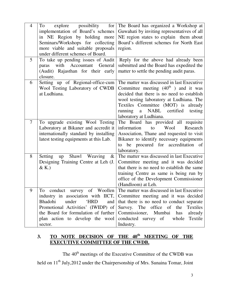| $\overline{4}$ | possibility<br>explore<br>for<br>To<br>implementation of Board's schemes<br>in NE Region by holding more<br>Seminars/Workshops for collecting<br>more viable and suitable proposals<br>under different schemes of Board.                | The Board has organized a Workshop at<br>Guwahati by inviting representatives of all<br>NE region states to explain them about<br>Board's different schemes for North East<br>region.                                                                                                                   |
|----------------|-----------------------------------------------------------------------------------------------------------------------------------------------------------------------------------------------------------------------------------------|---------------------------------------------------------------------------------------------------------------------------------------------------------------------------------------------------------------------------------------------------------------------------------------------------------|
| 5              | To take up pending issues of Audit<br>with Accountant<br>General<br>paras<br>(Audit) Rajasthan for their early<br>closure.                                                                                                              | Reply for the above had already been<br>submitted and the Board has expedited the<br>matter to settle the pending audit paras.                                                                                                                                                                          |
| 6              | Setting up of Regional-office-cum<br>Wool Testing Laboratory of CWDB<br>at Ludhiana.                                                                                                                                                    | The matter was discussed in last Executive<br>Committee meeting $(40th)$ and it was<br>decided that there is no need to establish<br>wool testing laboratory at Ludhiana. The<br>Textiles Committee (MOT) is already<br>NABL certified<br>running<br>testing<br>$\mathbf{a}$<br>laboratory at Ludhiana. |
| 7              | To upgrade existing Wool Testing<br>Laboratory at Bikaner and accredit it<br>internationally standard by installing<br>latest testing equipments at this Lab.                                                                           | The Board has provided all requisite<br>Wool<br>information<br>Research<br>to<br>Association, Thane and requested to visit<br>Bikaner to identify necessary equipments<br>be procured for accreditation of<br>to<br>laboratory.                                                                         |
| 8              | Shawl Weaving<br>Setting<br>$\&$<br>up<br>Designing Training Centre at Leh (J.<br>& K.)                                                                                                                                                 | The matter was discussed in last Executive<br>Committee meeting and it was decided<br>that there is no need to establish the same<br>training Centre as same is being run by<br>office of the Development Commissioner<br>(Handloom) at Leh.                                                            |
| 9              | To conduct survey of Woollen<br>industry in association with IICT,<br>Bhadohi<br><b>HRD</b><br>under<br>and<br>Promotional Activities' (IWIDP) of<br>the Board for formulation of further<br>plan action to develop the wool<br>sector. | The matter was discussed in last Executive<br>Committee meeting and it was decided<br>that there is no need to conduct separate<br>Survey. The office of the<br>Textiles<br>Commissioner, Mumbai<br>has<br>already<br>conducted survey of whole<br>Textile<br>Industry.                                 |

## **3. TO NOTE DECISION OF THE 40th MEETING OF THE EXECUTIVE COMMITTEE OF THE CWDB.**

The 40<sup>th</sup> meetings of the Executive Committee of the CWDB was held on 11<sup>th</sup> July, 2012 under the Chairpersonship of Mrs. Sunaina Tomar, Joint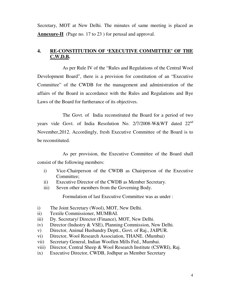Secretary, MOT at New Delhi. The minutes of same meeting is placed as **Annexure-II** (Page no. 17 to 23) for perusal and approval.

## **4. RE-CONSTITUTION OF 'EXECUTIVE COMMITTEE' OF THE C.W.D.B.**

 As per Rule IV of the "Rules and Regulations of the Central Wool Development Board", there is a provision for constitution of an "Executive Committee" of the CWDB for the management and administration of the affairs of the Board in accordance with the Rules and Regulations and Bye Laws of the Board for furtherance of its objectives.

 The Govt. of India reconstituted the Board for a period of two years vide Govt. of India Resolution No. 2/7/2008-W&WT dated 22<sup>nd</sup> November,2012. Accordingly, fresh Executive Committee of the Board is to be reconstituted.

 As per provision, the Executive Committee of the Board shall consist of the following members:

- i) Vice-Chairperson of the CWDB as Chairperson of the Executive Committee;
- ii) Executive Director of the CWDB as Member Secretary.
- iii) Seven other members from the Governing Body.

Formulation of last Executive Committee was as under :

- i) The Joint Secretary (Wool), MOT, New Delhi.
- ii) Textile Commissioner, MUMBAI.
- iii) Dy. Secretary/ Director (Finance), MOT, New Delhi.
- iv) Director (Industry & VSE), Planning Commission, New Delhi.
- v) Director, Animal Husbandry Deptt., Govt. of Raj., JAIPUR.
- vi) Director, Wool Research Association, THANE. (Mumbai)
- vii) Secretary General, Indian Woollen Mills Fed., Mumbai.
- viii) Director, Central Sheep & Wool Research Institute (CSWRI), Raj.
- ix) Executive Director, CWDB, Jodhpur as Member Secretary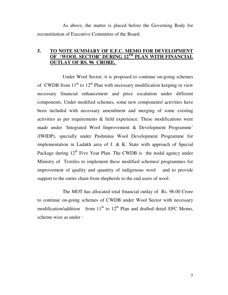As above, the matter is placed before the Governing Body for reconstitution of Executive Committee of the Board.

## **5. TO NOTE SUMMARY OF E.F.C. MEMO FOR DEVELOPMENT OF 'WOOL SECTOR' DURING 12TH PLAN WITH FINANCIAL OUTLAY OF RS. 96 CRORE.**

 Under Wool Sector, it is proposed to continue on-going schemes of CWDB from  $11<sup>th</sup>$  to  $12<sup>th</sup>$  Plan with necessary modification keeping in view necessary financial enhancement and price escalation under different components. Under modified schemes, some new components/ activities have been included with necessary amendment and merging of some existing activities as per requirements & field experience. These modifications were made under 'Integrated Wool Improvement & Development Programme' (IWIDP), specially under Pashmina Wool Development Programme for implementation in Ladakh area of J. & K. State with approach of Special Package during  $12<sup>th</sup>$  Five Year Plan. The CWDB is the nodal agency under Ministry of Textiles to implement these modified schemes/ programmes for improvement of quality and quantity of indigenous wool and to provide support to the entire chain from shepherds to the end users of wool.

 The MOT has allocated total financial outlay of Rs. 96.00 Crore to continue on-going schemes of CWDB under Wool Sector with necessary modification/addition from  $11<sup>th</sup>$  to  $12<sup>th</sup>$  Plan and drafted detail EFC Memo, scheme-wise as under :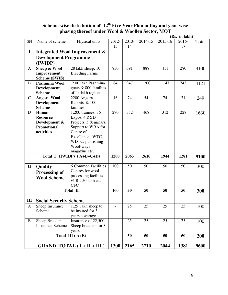## **Scheme-wise distribution of 12th Five Year Plan outlay and year-wise phasing thereof under Wool & Woollen Sector, MOT**

|              |                               |                                          |             |             |         |         | (Rs. in lakh) |       |
|--------------|-------------------------------|------------------------------------------|-------------|-------------|---------|---------|---------------|-------|
| SN           | Name of scheme                | Physical units                           | 2012-<br>13 | 2013-<br>14 | 2014-15 | 2015-16 | 2016-<br>17   | Total |
| $\mathbf I$  |                               | <b>Integrated Wool Improvement &amp;</b> |             |             |         |         |               |       |
|              | <b>Development Programme</b>  |                                          |             |             |         |         |               |       |
|              | (IWIDP)                       |                                          |             |             |         |         |               |       |
| A            | Sheep & Wool                  | 28 lakh sheep, 10                        | 830         | 691         | 888     | 411     | 280           | 3100  |
|              | Improvement                   | <b>Breeding Farms</b>                    |             |             |         |         |               |       |
|              | <b>Scheme (SWIS)</b>          |                                          |             |             |         |         |               |       |
| B            | <b>Pashmina Wool</b>          | 2.00 lakh Pashmina                       | 84          | 947         | 1200    | 1147    | 743           | 4121  |
|              | <b>Development</b>            | goats & 800 families                     |             |             |         |         |               |       |
|              | <b>Scheme</b>                 | of Ladakh region                         |             |             |         |         |               |       |
| $\mathsf{C}$ | <b>Angora Wool</b>            | 2200 Angora                              | 16          | 74          | 54      | 74      | 31            | 249   |
|              | <b>Development</b>            | Rabbits & 100                            |             |             |         |         |               |       |
|              | <b>Scheme</b>                 | families                                 |             |             |         |         |               |       |
| D            | Human                         | 1,200 trainees, 36                       | 270         | 352         | 468     | 312     | 228           | 1630  |
|              | <b>Resource</b>               | Expos, 4 R&D                             |             |             |         |         |               |       |
|              | Development &                 | Projects, 5 Seminars,                    |             |             |         |         |               |       |
|              | <b>Promotional</b>            | Support to WRA for                       |             |             |         |         |               |       |
|              | activities                    | Centre of                                |             |             |         |         |               |       |
|              |                               | Excellence, WTC,                         |             |             |         |         |               |       |
|              |                               | WDTC, publishing                         |             |             |         |         |               |       |
|              |                               | Wool-ways                                |             |             |         |         |               |       |
|              |                               | magazine etc.                            |             |             |         |         |               |       |
|              |                               | Total I (IWIDP) $(A+B+C+D)$              | 1200        | 2065        | 2610    | 1944    | 1281          | 9100  |
| $\mathbf{I}$ | <b>Quality</b>                | <b>6 Common Facilities</b>               | 100         | 50          | 50      | 50      | 50            | 300   |
|              | <b>Processing of</b>          | Centres for wool                         |             |             |         |         |               |       |
|              | <b>Wool Scheme</b>            | processing facilities                    |             |             |         |         |               |       |
|              |                               | @ Rs. 50 lakh each                       |             |             |         |         |               |       |
|              |                               | <b>CFC</b>                               |             |             |         |         |               |       |
|              |                               | <b>Total II</b>                          | 100         | 50          | 50      | 50      | 50            | 300   |
| Ш            | <b>Social Security Scheme</b> |                                          |             |             |         |         |               |       |
| A            | Sheep Insurance               | 1.25 lakh sheep to                       |             | 25          | 25      | 25      | 25            | 100   |
|              | Scheme                        | be insured for 3                         |             |             |         |         |               |       |
|              |                               | years coverage                           |             |             |         |         |               |       |
| $\bf{B}$     | <b>Sheep Breeders</b>         | Insurance of 22,500                      |             | 25          | 25      | 25      | 25            | 100   |
|              | <b>Insurance Scheme</b>       | Sheep breeders for 3                     |             |             |         |         |               |       |
|              |                               | years                                    |             |             |         |         |               |       |
|              |                               | Total III $(A+B)$                        |             | 50          | 50      | 50      | 50            | 200   |
|              |                               | GRAND TOTAL $(I + II + III)$             | 1300        | 2165        | 2710    | 2044    | 1381          | 9600  |
|              |                               |                                          |             |             |         |         |               |       |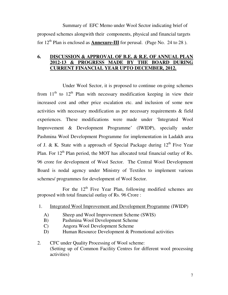Summary of EFC Memo under Wool Sector indicating brief of proposed schemes alongwith their components, physical and financial targets for  $12<sup>th</sup>$  Plan is enclosed as **Annexure-III** for perusal. (Page No. 24 to 28).

### **6. DISCUSSION & APPROVAL OF B.E. & R.E. OF ANNUAL PLAN 2012-13 & PROGRESS MADE BY THE BOARD DURING CURRENT FINANCIAL YEAR UPTO DECEMBER, 2012.**

 Under Wool Sector, it is proposed to continue on-going schemes from  $11<sup>th</sup>$  to  $12<sup>th</sup>$  Plan with necessary modification keeping in view their increased cost and other price escalation etc. and inclusion of some new activities with necessary modification as per necessary requirements & field experiences. These modifications were made under 'Integrated Wool Improvement & Development Programme' (IWIDP), specially under Pashmina Wool Development Programme for implementation in Ladakh area of J. & K. State with a approach of Special Package during  $12<sup>th</sup>$  Five Year Plan. For  $12<sup>th</sup>$  Plan period, the MOT has allocated total financial outlay of Rs. 96 crore for development of Wool Sector. The Central Wool Development Board is nodal agency under Ministry of Textiles to implement various schemes/ programmes for development of Wool Sector.

For the  $12<sup>th</sup>$  Five Year Plan, following modified schemes are proposed with total financial outlay of Rs. 96 Crore :

- 1. Integrated Wool Improvement and Development Programme (IWIDP)
	- A) Sheep and Wool Improvement Scheme (SWIS)
	- B) Pashmina Wool Development Scheme
	- C) Angora Wool Development Scheme
	- D) Human Resource Development & Promotional activities
- 2. CFC under Quality Processing of Wool scheme: (Setting up of Common Facility Centres for different wool processing activities)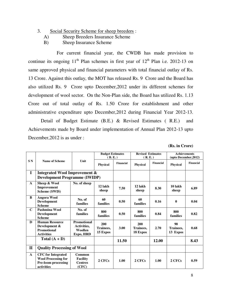- 3. Social Security Scheme for sheep breeders :
	- A) Sheep Breeders Insurance Scheme
	- B) Sheep Insurance Scheme

 For current financial year, the CWDB has made provision to continue its ongoing  $11<sup>th</sup>$  Plan schemes in first year of  $12<sup>th</sup>$  Plan i.e. 2012-13 on same approved physical and financial parameters with total financial outlay of Rs. 13 Crore. Against this outlay, the MOT has released Rs. 9 Crore and the Board has also utilized Rs. 9 Crore upto December,2012 under its different schemes for development of wool sector. On the Non-Plan side, the Board has utilized Rs. 1.13 Crore out of total outlay of Rs. 1.50 Crore for establishment and other administrative expenditure upto December,2012 during Financial Year 2012-13.

 Detail of Budget Estimate (B.E.) & Revised Estimates ( R.E.) and Achievements made by Board under implementation of Annual Plan 2012-13 upto December,2012 is as under :

**(Rs. in Crore)**

|                |                                                                                                     |                                                           | <b>Budget Estimates</b>      |           | <b>Revised Estimates</b>     |           | <b>Achievements</b>         |           |
|----------------|-----------------------------------------------------------------------------------------------------|-----------------------------------------------------------|------------------------------|-----------|------------------------------|-----------|-----------------------------|-----------|
|                |                                                                                                     |                                                           | (B.E.)                       |           | (R, E, )                     |           | (upto December, 2012)       |           |
| S <sub>N</sub> | Name of Scheme                                                                                      | Unit                                                      | <b>Physical</b>              | Financial | <b>Physical</b>              | Financial | <b>Physical</b>             | Financial |
| $\mathbf I$    | <b>Integrated Wool Improvement &amp;</b><br><b>Development Programme (IWIDP)</b>                    |                                                           |                              |           |                              |           |                             |           |
| $\mathbf{A}$   | Sheep & Wool<br>Improvement<br>Scheme (SWIS)                                                        | No. of sheep                                              | 12 lakh<br>sheep             | 7.50      | 12 lakh<br>sheep             | 8.30      | 10 lakh<br>sheep            | 6.89      |
| $\bf{B}$       | <b>Angora Wool</b><br><b>Development</b><br><b>Scheme</b>                                           | No. of<br>families                                        | 60<br>families               | 0.50      | 60<br>families               | 0.16      | $\mathbf{0}$                | 0.04      |
| $\mathbf C$    | Pashmina Wool<br>Development<br><b>Scheme</b>                                                       | No. of<br>families                                        | 800<br>families              | 0.50      | 800<br>families              | 0.84      | 800<br>families             | 0.82      |
| $\bf{D}$       | <b>Human Resource</b><br>Development &<br><b>Promotional</b><br><b>Activities</b>                   | Promotional<br>Activities,<br><b>Woollen</b><br>Expo, HRD | 200<br>Trainees.<br>15 Expos | 3.00      | 200<br>Trainees,<br>18 Expos | 2.70      | 90<br>Trainees.<br>13 Expos | 0.68      |
|                | Total $(A + D)$                                                                                     |                                                           |                              | 11.50     |                              | 12.00     |                             | 8.43      |
| $\mathbf{I}$   | <b>Quality Processing of Wool</b>                                                                   |                                                           |                              |           |                              |           |                             |           |
| $\mathbf{A}$   | <b>CFC</b> for Integrated<br><b>Wool Processing for</b><br><b>Pre-loom processing</b><br>activities | Common<br><b>Facility</b><br><b>Centres</b><br>(CFC)      | 2 CFCs                       | 1.00      | 2 CFCs                       | 1.00      | 2 CFCs                      | 0.59      |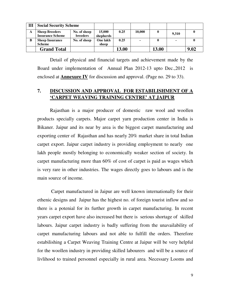| Ш | <b>Social Security Scheme</b>                    |                                 |                     |       |        |       |       |      |
|---|--------------------------------------------------|---------------------------------|---------------------|-------|--------|-------|-------|------|
| A | <b>Sheep Breeders</b><br><b>Insurance Scheme</b> | No. of sheep<br><b>breeders</b> | 15,000<br>shepherds | 0.25  | 10,000 | 0     | 9,310 |      |
| B | <b>Sheep Insurance</b><br><b>Scheme</b>          | No. of sheep                    | One lakh<br>sheep   | 0.25  |        |       |       |      |
|   | <b>Grand Total</b>                               |                                 |                     | 13.00 |        | 13.00 |       | 9.02 |
|   |                                                  |                                 |                     |       |        |       |       |      |

 Detail of physical and financial targets and achievement made by the Board under implementation of Annual Plan 2012-13 upto Dec.,2012 is enclosed at **Annexure IV** for discussion and approval. (Page no. 29 to 33).

## **7. DISCUSSION AND APPROVAL FOR ESTABILISHMENT OF A 'CARPET WEAVING TRAINING CENTRE' AT JAIPUR**

Rajasthan is a major producer of domestic raw wool and woollen products specially carpets. Major carpet yarn production center in India is Bikaner. Jaipur and its near by area is the biggest carpet manufacturing and exporting center of Rajasthan and has nearly 20% market share in total Indian carpet export. Jaipur carpet industry is providing employment to nearly one lakh people mostly belonging to economically weaker section of society. In carpet manufacturing more than 60% of cost of carpet is paid as wages which is very rare in other industries. The wages directly goes to labours and is the main source of income.

 Carpet manufactured in Jaipur are well known internationally for their ethenic designs and Jaipur has the highest no. of foreign tourist inflow and so there is a potenial for its further growth in carpet manufacturing. In recent years carpet export have also increased but there is serious shortage of skilled labours. Jaipur carpet industry is badly suffering from the unavailability of carpet manufacturing labours and not able to fulfill the orders. Therefore estabilishing a Carpet Weaving Training Centre at Jaipur will be very helpful for the woollen industry in providing skilled labourers and will be a source of livlihood to trained personnel especially in rural area. Necessary Looms and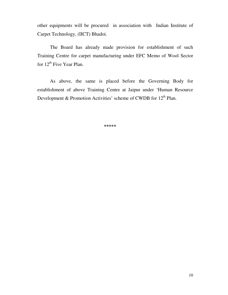other equipments will be procured in association with Indian Institute of Carpet Technology, (IICT) Bhadoi.

The Board has already made provision for establishment of such Training Centre for carpet manufacturing under EFC Memo of Wool Sector for  $12<sup>th</sup>$  Five Year Plan.

As above, the same is placed before the Governing Body for establishment of above Training Centre at Jaipur under 'Human Resource Development & Promotion Activities' scheme of CWDB for  $12<sup>th</sup>$  Plan.

**\*\*\*\*\***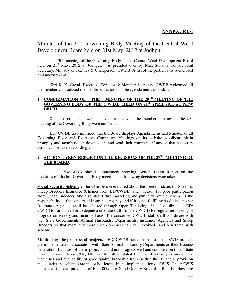## **ANNEXURE-I**

## Minutes of the 30<sup>th</sup> Governing Body Meeting of the Central Wool Development Board held on 21st May, 2012 at Jodhpur.

The 30<sup>th</sup> meeting of the Governing Body of the Central Wool Development Board held on 21<sup>st</sup> May, 2012 at Jodhpur, was presided over by Mrs. Sunaina Tomar, Joint Secretary, Ministry of Textiles & Chairperson, CWDB. A list of the participants is enclosed as Annexure- I-A

Shri K. K. Goyal, Executive Director & Member Secretary, CWDB welcomed all the members, introduced the members and took up the agenda items as under :

#### **1. CONFIRMATION OF THE MINUTES OF THE 29TH MEETING OF THE GOVERNING BODY OF THE C.W.D.B. HELD ON 21st APRIL,2011 AT NEW DELHI.**

Since no comments were received from any of the member, minutes of the  $29<sup>th</sup>$ meeting of the Governing Body were confirmed.

 ED/ CWDB also informed that the Board displays Agenda Items and Minutes of all Governing Body and Executive Committee Meetings on its website woolboard.nic.in promptly and members can download it and send their comment, if any so that necessary action can be taken accordingly.

#### **2. ACTION TAKEN REPORT ON THE DECISIONS OF THE 29TH MEETING OF THE BOARD.**

 ED/CWDB placed a statement showing Action Taken Report on the decisions of the last Governing Body meeting and following decisions were taken:

**Social Security Scheme :** The Chairperson enquired about the present status of Sheep & Sheep Breeders Insurance Schemes from ED/CWDB and reason for poor participation from Sheep Breeders. She also stated that marketing and publicity of the scheme is the responsibility of the concerned Insurance Agency and if it is not fulfilling its duties another Insurance Agencies shall be selected through Open Tendering. She also directed ED/ CWDB to form a cell or to depute a separate staff (in the CWDB) for regular monitoring of progress on weekly and monthly basis. The concerned CWDB staff shall coordinate with the State Governments Animal Husbandry Departments, Insurance Agencies and Sheep Breeders so that more and more sheep breeders can be involved and benefitted with scheme.

**Monitoring the progress of projects** : ED/ CWDB stated that most of the SWIS projects are implemented in association with State Animal husbandry Departments or their Boards/ Federations but most of these projects could not progress well and complete on time. State representatives from J&K, HP and Rajasthan stated that the delay in procurement of medicines and availability of good quality breedable Ram (within the financial provision made under the scheme) are major bottleneck in the implementation of SWIS. Under SWIS there is a financial provision of Rs. 4000/- for Good Quality Breedable Ram but these are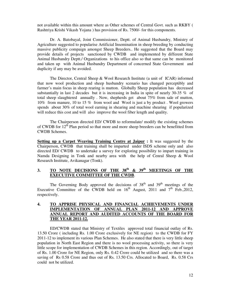not available within this amount where as Other schemes of Central Govt. such as RKBY ( Rashtriya Krishi Vikash Yojana ) has provision of Rs. 7500/- for this components.

Dr. A. Batobayal, Joint Commissioner, Deptt. of Animal Husbandry, Ministry of Agriculture suggested to popularise Artificial Insemination in sheep breeding by conducting massive publicity compaign amongst Sheep Breeders.. He suggested that the Board may provide details of projects sanctioned by CWDB and implemented by different State Animal Husbandry Deptt./ Organizations to his office also so that same can be monitored and taken up with Animal Husbandry Department of concerned State Government and duplicity if any may be avoided.

 The Director, Central Sheep & Wool Research Institute (a unit of ICAR) informed that now wool production and sheep husbandry scenario has changed perceptibly and farmer's main focus in sheep rearing is mutton. Globally Sheep population has decreased substantially in last 2 decades but it is increasing in India in spite of nearly 30-35 % of total sheep slaughtered annually . Now, shepherds get about 75% from sale of mutton, 10% from manure, 10 to 15 % from wool and Wool is just a by product . Wool growers spends about 30% of total wool earning in shearing and machine shearing if popularized will reduce this cost and will also improve the wool fiber length and quality.

 The Chairperson directed ED/ CWDB to reformulate/ modify the existing schemes of CWDB for  $12<sup>th</sup>$  Plan period so that more and more sheep breeders can be benefitted from CWDB Schemes.

**Setting up a Carpet Weaving Training Centre at Jaipur :** It was suggested by the Chairperson, CWDB that training shall be imparted under ISDS scheme only and also directed ED/ CWDB to undertake a survey for exploring possibility to impart training in Namda Designing in Tonk and nearby area with the help of Cenral Sheep & Wool Research Institute, Avikanagar (Tonk).

#### **3. TO NOTE DECISIONS OF THE 38th & 39th MEETINGS OF THE EXECUTIVE COMMITTEE OF THE CWDB**.

The Governing Body approved the decisions of  $38<sup>th</sup>$  and  $39<sup>th</sup>$  meetings of the Executive Committee of the CWDB held on  $16<sup>th</sup>$  August, 2011 and  $7<sup>th</sup>$  Feb., 2012, respectively.

#### **4. TO APPRISE PHYSICAL AND FINANCIAL ACHIEVEMENTS UNDER IMPLEMENTATION OF ANNUAL PLAN 2011-12 AND APPROVE ANNUAL REPORT AND AUDITED ACCOUNTS OF THE BOARD FOR THE YEAR 2011-12.**

 ED/CWDB stated that Ministry of Textiles approved total financial outlay of Rs. 13.50 Crore ( including Rs. 1.00 Crore exclusively for NE region) to the CWDB for FY 2011-12 to implement its various Plan Schemes. He also stated that there is very little sheep population in North East Region and there is no wool processing activity, so there is very little scope for implementation of CWDB Schemes in this region. Accordingly, out of target of Rs. 1.00 Crore for NE Region, only Rs. 0.42 Crore could be utilized and so there was a saving of Rs 0.58 Crore and thus out of Rs. 13.50 Crs. Allocated to Board, Rs. 0.58 Crs could not be utilized.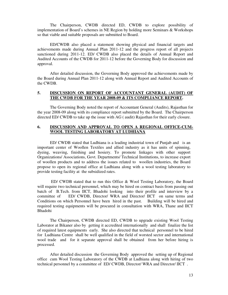The Chairperson, CWDB directed ED, CWDB to explore possibility of implementation of Board's schemes in NE Region by holding more Seminars & Workshops so that viable and suitable proposals are submitted to Board.

ED/CWDB also placed a statement showing physical and financial targets and achievements made during Annual Plan 2011-12 and the progress report of all projects sanctioned during 2011-12. ED/ CWDB also placed the details of Annual Report and Audited Accounts of the CWDB for 2011-12 before the Governing Body for discussion and approval.

After detailed discussion, the Governing Body approved the achievements made by the Board during Annual Plan 2011-12 along with Annual Report and Audited Accounts of the CWDB.

#### **5. DISCUSSION ON REPORT OF ACCOUNTANT GENERAL (AUDIT) OF THE CWDB FOR THE YEAR 2008-09 & ITS COMPLIANCE REPORT.**

 The Governing Body noted the report of Accountant General (Audits), Rajasthan for the year 2008-09 along with its compliance report submitted by the Board. The Chairperson directed ED/ CWDB to take up the issue with AG ( audit) Rajasthan for their early closure.

#### **6. DISCUSSION AND APPROVAL TO OPEN A REGIONAL OFFICE-CUM-WOOL TESTING LABORATORY AT LUDHIANA**

 ED/ CWDB stated that Ludhiana is a leading industrial town of Punjab and is an important center of Woollen Textiles and allied industry as it has units of spinning, dyeing, weaving, finishing and hosiery. To promote linkages with other support Organizations/ Associations, Govt. Departments/ Technical Institutions, to increase export of woollen products and to address the issues related to woollen industries, the Board propose to open its regional office at Ludhiana along with a wool testing laboratory to provide testing facility at the subsidized rates.

 ED/ CWDB stated that to run this Office & Wool Testing Laboratory, the Board will require two technical personnel, which may be hired on contract basis from passing out batch of B.Tech. from IICT, Bhadohi looking into their profile and interview by a committee of ED/ CWDB, Director/ WRA and Director/ IICT on same terms and Conditions on which Personnel have been hired in the past. Building will be hired and required testing equipments will be procured in consultation with WRA, Thane and IICT Bhadohi

The Chairperson, CWDB directed ED, CWDB to upgrade existing Wool Testing Laborator at Bikaner also by getting it accredited internationally and shall finalize the list of required latest equipments early. She also directed that technical personnel to be hired for Ludhiana Centre shall be well qualified in the field of worsted sector and international wool trade and for it separate approval shall be obtained from her before hiring is processed.

After detailed discussion the Governing Body approved the setting up of Regional office cum Wool Testing Laboratory of the CWDB at Ludhiana along with hiring of two technical personnel by a committee of ED/ CWDB, Director/ WRA and Director/ IICT .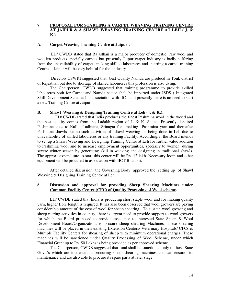#### **7. PROPOSAL FOR STARTING A CARPET WEAVING TRAINING CENTRE AT JAIPUR & A SHAWL WEAVING TRAINING CENTRE AT LEH ( J. & K.)**

#### **A. Carpet Weaving Training Centre at Jaipur :**

 ED/ CWDB stated that Rajasthan is a major producer of domestic raw wool and woollen products specially carpets but presently Jaipur carpet industry is badly suffering from the unavailability of carpet making skilled laboureres and starting a carpet training Centre at Jaipur will be very helpful for the industry.

 Director/ CSWRI suggested that best Quality Namda are producd in Tonk district of Rajasthan but due to shortage of skilled laboureres this profession is also dying.

The Chairperson, CWDB suggested that training programme to provide skilled laboureres both for Carpet and Namda sector shall be imparted under ISDS ( Integrated Skill Development Scheme ) in association with IICT and presently there is no need to start a new Training Centre at Jaipur.

#### **B. Shawl Weaving & Designing Training Centre at Leh (J. & K.):**

 ED/ CWDB stated that India produces the finest Pashmina wool in the world and the best quality comes from the Ladakh region of J.  $\&$  K. State. Presently dehaired Pashmina goes to Kullu, Ludhiana, Srinagar for making Pashmina yarn and thereafter Pashmina shawls but no such activities of shawl weaving is being done in Leh due to unavailability of skilled laboureres or any training Facility. Accordingly, the Board intends to set up a Shawl Weaving and Designing Training Centre at Leh for further value addition to Pashmina wool and to increase employment opportunities, specially to women, during severe winter season by generating skill in weaving and designing in traditional shawls. The approx. expenditure to start this center will be Rs. 12 lakh. Necessary loom and other equipment will be procured in association with IICT Bhadohi.

After detailed discussion the Governing Body approved the setting up of Shawl Weaving & Designing Training Centre at Leh.

#### **8. Discussion and approval for providing Sheep Shearing Machines under Common Facility Centre (CFC) of Quality Processing of Wool scheme.**

 ED/ CWDB stated that India is producing short staple wool and for making quality yarn, higher fibre length is required. It has also been observed that wool growers are paying considerable amount of the cost of wool for sheep shearing. To sustain wool growing and sheep rearing activities in country, there is urgent need to provide support to wool growers for which the Board proposed to provide assistance to interested State Sheep & Wool Development Board/Organizations to procure sheep shearing Machines. These shearing machines will be placed in their existing Extension Centers/ Veterinary Hospitals/ CFCs & Multiple Facility Centers for shearing of sheep with minimum operational charges. These machines will be sanctioned under Quality Processing of Wool Scheme, under which Financial Grant up to Rs. 50 Lakhs is being provided as per approved scheme.

The Chairperson, CWDB suggested that fund shall be sanctioned only to those State Govt.'s which are interested in procuring sheep shearing machines and can ensure its maintenance and are also able to procure its spare parts at later stage.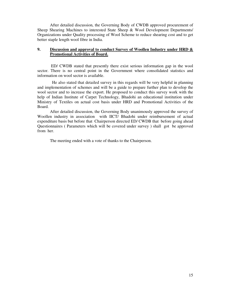After detailed discussion, the Governing Body of CWDB approved procurement of Sheep Shearing Machines to interested State Sheep & Wool Development Departments/ Organizations under Quality processing of Wool Scheme to reduce shearing cost and to get better staple length wool fibre in India.

#### **9. Discussion and approval to conduct Survey of Woollen Industry under HRD & Promotional Activities of Board.**

 ED/ CWDB stated that presently there exist serious information gap in the wool sector. There is no central point in the Government where consolidated statistics and information on wool sector is available.

 He also stated that detailed survey in this regards will be very helpful in planning and implementation of schemes and will be a guide to prepare further plan to develop the wool sector and to increase the export. He proposed to conduct this survey work with the help of Indian Institute of Carpet Technology, Bhadohi an educational institution under Ministry of Textiles on actual cost basis under HRD and Promotional Activities of the Board.

After detailed discussion, the Governing Body unanimously approved the survey of Woollen industry in association with IICT/ Bhadohi under reimbursement of actual expenditure basis but before that Chairperson directed ED/ CWDB that before going ahead Questionnaires ( Parameters which will be covered under survey ) shall got be approved from her.

The meeting ended with a vote of thanks to the Chairperson.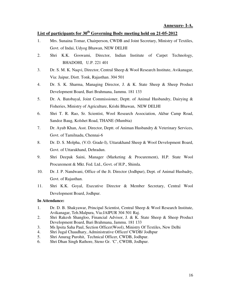#### **Annexure- I-A.**

## **List of participants for 30th Governing Body meeting held on 21-05-2012**

- 1. Mrs. Sunaina Tomar, Chairperson, CWDB and Joint Secretary, Ministry of Textiles, Govt. of Indai, Udyog Bhawan, NEW DELHI
- 2. Shri K.K. Goswami, Director, Indian Institute of Carpet Technology, BHADOHI, U.P. 221 401
- 3. Dr. S. M. K. Naqvi, Director, Central Sheep & Wool Research Institute, Avikanagar, Via: Jaipur, Distt. Tonk, Rajasthan. 304 501
- 4. Dr. S. K. Sharma, Managing Director, J. & K. State Sheep & Sheep Product Development Board, Bari Brahmana, Jammu. 181 133
- 5. Dr. A. Batobayal, Joint Commissioner, Deptt. of Animal Husbandry, Dairying & Fisheries, Ministry of Agriculture, Krishi Bhawan, NEW DELHI
- 6. Shri T. R. Rao, Sr. Scientist, Wool Research Association, Akbar Camp Road, Sandoz Baug, Kolshet Road, THANE (Mumbia)
- 7. Dr. Ayub Khan, Asst. Director, Deptt. of Animan Husbandry & Veterinary Services, Govt. of Tamilnadu, Chennai-6
- 8. Dr. D. S. Molpha, (V.O. Grade-I), Uttarakhand Sheep & Wool Development Board, Govt. of Uttarakhand, Dehradun.
- 9. Shri Deepak Saini, Manager (Marketing & Procurement), H.P. State Wool Procurement & Mkt. Fed. Ltd., Govt. of H.P., Shimla.
- 10. Dr. J. P. Nandwani, Office of the Jt. Director (Jodhpur), Dept. of Animal Husbadry, Govt. of Rajasthan.
- 11. Shri K.K. Goyal, Executive Director & Member Secretary, Central Wool Development Board, Jodhpur.

#### **In Attendance:**

- 1. Dr. D. B. Shakyawar, Principal Scientist, Central Sheep & Wool Research Institute, Avikanagar, Teh.Malpura, Via:JAIPUR 304 501 Raj.
- 2. Shri Rakesh Shangloo, Financial Advisor, J. & K. State Sheep & Sheep Product Development Board, Bari Brahmana, Jammu. 181 133
- 3. Ms Ipsita Saha Paul, Section Officer(Wool), Ministry Of Textiles, New Delhi
- 4. Shri Jugal Chaudhary, Administrative Officer/ CWDB/ Jodhpur
- 5. Shri Anurag Purohit, Technical Officer, CWDB, Jodhpur.
- 6. Shri Dhan Singh Rathore, Steno Gr. 'C', CWDB, Jodhpur.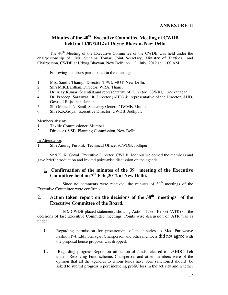## **Minutes of the 40th Executive Committee Meeting of CWDB held on 11/07/2012 at Udyog Bhavan, New Delhi**

The 40<sup>th</sup> Meeting of the Executive Committee of the CWDB was held under the chairpersonship of Ms. Sunaina Tomar, Joint Secretary, Ministry of Textiles and Chairperson, CWDB at Udyog Bhawan, New Delhi on 11<sup>th</sup> July, 2012 at 11.00 AM.

Following members participated in the meeting:

- 1. Mrs. Santha Thampi, Director (IFW), MOT, New Delhi.
- 2. Shri M.K.Bardhan, Director, WRA, Thane.
- 3. Dr. Ajay Kumar, Scientist and representative of Director, CSWRI, Avikanagar.
- 4. Dr. Pradeep Saraswat , Jt. Director (AHD) & representative of the Director, AHD, Govt. of Rajasthan, Jaipur.
- 5. Shri Mahesh N. Sanil, Secretary General/ IWMF/ Mumbai
- 6. Shri K.K.Goyal, Executive Director, CWDB, Jodhpur.

Members absent:

- 1. Textile Commissioner, Mumbai
- 2. Director ( VSI), Planning Commission, New Delhi

In Attendance:

1. Shri Anurag Purohit, Technical Officer /CWDB, Jodhpur.

 Shri K. K. Goyal, Executive Director, CWDB, Jodhpur welcomed the members and gave brief introduction and invited point-wise discussion on the agenda.

## **1. Confirmation of the minutes of the 39th meeting of the Executive Committee held on 7th Feb.,2012 at New Delhi.**

Since no comments were received, the minutes of  $39<sup>th</sup>$  meetings of the Executive Committee were confirmed.

## 2. A**ction taken report on the decisions of the 38th meetings of the Executive Committee of the Board.**

 ED/ CWDB placed statements showing Action Taken Report (ATR) on the decisions of last Executive Committee meetings. Points wise discussion on ATR was as under

- I. Regarding permission for procurement of machineries to M/s. Pureweave Fashion Pvt. Ltd., Srinagar, Chairperson and other members did not agree with the proposal hence proposal was dropped.
- II. Regarding progress Report on utilization of funds released to LAHDC, Leh under Revolving Fund scheme, Chairperson and other members were of the opinion that all the agencies to whom funds have been sanctioned should be asked to submit progress report including profit/ loss in the activity and whether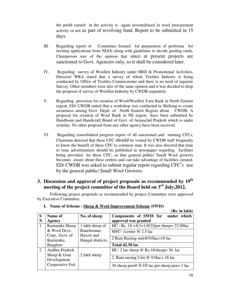the profit earned in the activity is again invested/used in wool procurement activity or not as part of revolving fund. Report to be submitted in 15 days.

- III. Regarding report of Committee formed for preparation of proforma for inviting applications from NGOs along with guidelines to decide grading cards, Chairperson was of the opinion that since at present projects are sanctioned to Govt. Agencies only, so it shall be considered later.
- IV. Regarding survey of Woollen Industry under HRD & Promotional Activities, Director/ WRA stated that a survey of whole Textiles Industry is being conducted by Office of Textiles Commissioner and there is no need of separate Survey. Other members were also of the same opinion and it was decided to drop the proposal of survey of Woollen Industry by CWDB separately.
- V. Regarding provision for creation of Wool/Woollen Yarn Bank in North Eastern region, ED/ CWDB stated that a workshop was conducted in Shillong to create awareness among Govt. Deptt. of North Eastern Region about CWDB. A proposal for creation of Wool Bank in NE region have been submitted by Handloom and Handicraft Board of Govt. of Arunachal Pradesh which is under scrutiny. No other proposal from any other agency have been received.
- VI. Regarding consolidated progress report of all sanctioned and running CFCs, Chairman directed that these CFC should be visited by CWDB staff frequently to know the benefit of these CFC to common man. It was also directed that time to time advertisement should be published in newspaper regarding facilities being provided by these CFC, so that general public/ Small Wool growers becomes aware about these centres and can take advantage of facilities created. ED/ CWDB was asked to submit regular report regarding CFC's use by the general public/ Small Wool Growers.

## **3. Discussion and approval of project proposals as recommended by 19th meeting of the project committee of the Board held on 3rd July,2012.**

 Following project proposals as recommended by project Committee were approved by Executive Committee.

|   |                  |                   | (Rs. in lakh)                                        |
|---|------------------|-------------------|------------------------------------------------------|
| S | Name of          | No. of sheep      | Components of SWIS for<br>under which                |
| N | Agency           |                   | approval was granted                                 |
| 1 | Karnataka Sheep  | 1 lakh sheep of   | HC - Rs. $18 + 4(3+1)@22$ per sheep = 22.00 lac      |
|   | & Wool Deve.     | Ranebennur,       | MFC-1center @ 2.5 lac                                |
|   | Corp., Govt. of  | Haveri and        |                                                      |
|   | Karnataka,       | Hangal districts. | 2 Ram Raising unit@9.0lac=18 lac                     |
|   | Banglore         |                   | <b>Total-42.50 lac</b>                               |
| 2 | Andhra Pradesh   |                   | HC- 2 lac sheep $\omega$ Rs.18/sheep= 36 lac         |
|   | Sheep $&$ Goat   | 2 lakh sheep      |                                                      |
|   | Development      |                   | 2 Ram raising Unit @ $9.0$ lac= 18 lac               |
|   | Cooperative Fed. |                   | 30 sheep pen $\omega$ 0.10 lac per sheep pen = 3 lac |

**I. Name of Scheme : Sheep & Wool Improvement Scheme (SWIS)**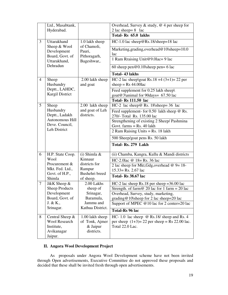|                | Ltd., Masabtank,<br>Hyderabad.                                                   |                                                             | Overhead, Survey & study, $@$ 4 per sheep for<br>2 lac sheep= $8$ lac                                                 |
|----------------|----------------------------------------------------------------------------------|-------------------------------------------------------------|-----------------------------------------------------------------------------------------------------------------------|
|                |                                                                                  |                                                             | Total-Rs 65.0 lakhs                                                                                                   |
| 3              | Uttarakhand                                                                      | 1.0 lakh sheep<br>of Chamoli,<br>Pauri,                     | HC-1.0 lac sheep@Rs.18/sheep=18 lac                                                                                   |
|                | Sheep & Wool<br>Development<br>Board, Govt. of                                   |                                                             | Marketing, grading, overhead@10\sheep=10.0<br>lac                                                                     |
|                | Uttarakhand,                                                                     | Pithoragarh,<br>Bageshwar,.                                 | 1 Ram Rraising Unit@9.0lac=9 lac                                                                                      |
|                | Dehradun                                                                         |                                                             | 60 sheep pen $@0.10$ sheep pen= 6 lac                                                                                 |
|                |                                                                                  |                                                             | <b>Total-43 lakhs</b>                                                                                                 |
| $\overline{4}$ | Sheep<br>Husbandry                                                               | 2.00 lakh sheep<br>and goat                                 | HC-2 lac sheep\goat Rs.18 +4 $(3+1)= 22$ per<br>sheep = $Rs\,44.00$ lac                                               |
|                | Deptt., LAHDC,<br><b>Kargil District</b>                                         |                                                             | Feed supplement for 0.25 lakh sheep\<br>goat@3\animal for 90days= $67.50$ lac                                         |
|                |                                                                                  |                                                             | <b>Total-Rs 111.50 lac</b>                                                                                            |
| 5              | Sheep                                                                            | 2.00 lakh sheep                                             | HC-2 lac sheep@ Rs. 18\sheep= 36 lac                                                                                  |
|                | Husbandry<br>Deptt., Ladakh                                                      | and goat of Leh<br>districts.                               | Feed supplement- for $0.50$ lakh sheep $@$ Rs.<br>270/- Total Rs. 135.00 lac                                          |
|                | Autonomous Hill<br>Deve. Council,<br>Leh District                                |                                                             | Strengthening of existing 2 Sheep/ Pashmina                                                                           |
|                |                                                                                  |                                                             | Govt. $farms = Rs. 40$ lakh                                                                                           |
|                |                                                                                  |                                                             | 2 Ram Raising Units = $Rs. 18$ lakh                                                                                   |
|                |                                                                                  |                                                             | 500 Sheep/goat pens Rs. 50 lakh                                                                                       |
|                |                                                                                  |                                                             | Total-Rs. 279 Lakh                                                                                                    |
| 6              | H.P. State Coop.                                                                 | $(i)$ Shimla &                                              | (ii) Chamba, Kangra, Kullu & Mandi districts                                                                          |
|                | Wool                                                                             | Kinnaur                                                     | HC-2.0lac $@$ 18 = Rs. 36 lac                                                                                         |
|                | Procurement &<br>Mkt. Fed. Ltd.,                                                 | districts for<br>Rampur                                     | 2 lac sheep for Mkt, Gdg, overhead @ 9= 18-                                                                           |
|                | Govt. of H.P.,                                                                   | Bushehri breed                                              | $15.33 =$ Rs. 2.67 lac                                                                                                |
|                | Shimla                                                                           | of sheep.                                                   | Total-Rs 38.67 lac                                                                                                    |
| 7              | J&K Sheep &                                                                      | 2.00 Lakhs                                                  | $HC-2$ lac sheep Rs.18 per sheep = 36.00 lac                                                                          |
|                | <b>Sheep Products</b>                                                            | sheep of                                                    | Strength. of farm@ 20 lac for 1 farm = 20 lac                                                                         |
|                | Development                                                                      | Srinagar,                                                   | Overhead, Survey, study, marketing,                                                                                   |
|                | Board, Govt. of                                                                  | Baramula,                                                   | grading@10\sheep for 2 lac sheep=20 lac                                                                               |
|                | J. & K.,<br>Srinagar.                                                            | Jammu and<br>Kathua District.                               | Support of MPEC @10 lac for 2 center=20 lac                                                                           |
|                |                                                                                  |                                                             | <b>Total-Rs 96 lac</b>                                                                                                |
| 8              | Central Sheep $&$<br><b>Wool Research</b><br>Institute,<br>Avikanagar<br>Jaipur. | 1.00 lakh sheep<br>of Tonk, Ajmer<br>& Jaipur<br>districts. | HC-1.0 lac sheep $\omega$ Rs.18/ sheep and Rs. 4<br>per sheep $(1+3)=22$ per sheep = Rs 22.00 lac.<br>Total 22.0 Lac. |

#### **II. Angora Wool Development Project**

 As proposals under Angora Wool Development scheme have not been invited through Open advertisements, Executive Committee do not approved these proposals and decided that these shall be invited fresh through open advertisements.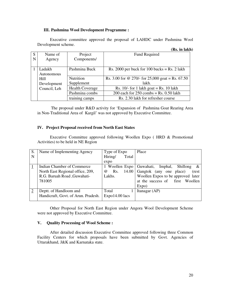#### **III. Pashmina Wool Development Programme :**

Executive committee approved the proposal of LAHDC under Pashmina Wool Development scheme.

|   |              |                        | (Rs. in lakh)                                    |
|---|--------------|------------------------|--------------------------------------------------|
| S | Name of      | Project                | Fund Required                                    |
| N | Agency       | Components/            |                                                  |
|   |              |                        |                                                  |
|   | Ladakh       | Pashmina Buck          | Rs. 2000 per buck for 100 bucks = Rs. 2 lakh     |
|   | Autonomous   |                        |                                                  |
|   | Hill         | Nutrition              | Rs. 3.00 for @ 270/- for 25,000 goat = Rs. 67.50 |
|   | Development  | Supplement             | lakh.                                            |
|   | Council, Leh | <b>Health Coverage</b> | Rs. $10/-$ for 1 lakh goat = Rs. 10 lakh         |
|   |              | Pashmina combs         | 200 each for $250$ combs = Rs. 0.50 lakh         |
|   |              | training camps         | Rs. 2.30 lakh for refresher course               |

 The proposal under R&D activity for 'Expansion of Pashmina Goat Rearing Area in Non-Traditional Area of Kargil' was not approved by Executive Committee.

#### **IV. Project Proposal received from North East States**

 Executive Committee approved following Woollen Expo ( HRD & Promotional Activities) to be held in NE Region

| S.             | Name of Implementing Agency         | Type of Expo        | Place                                        |
|----------------|-------------------------------------|---------------------|----------------------------------------------|
| N              |                                     | Hiring/<br>Total    |                                              |
|                |                                     | expo                |                                              |
|                | Indian Chamber of Commerce          | 1 Woollen Expo      | Guwahati,<br>Imphal,<br><b>Shillong</b><br>& |
|                | North East Regional office, 209,    | 14.00<br>Rs.<br>(a) | Gangtok (any one place)<br>(rest             |
|                | R.G. Baruah Road , Guwahati-        | Lakhs.              | Woollen Expos to be approved later           |
|                | 781005                              |                     | at the success of first Woollen              |
|                |                                     |                     | Expo)                                        |
| $\overline{2}$ | Deptt. of Handloom and              | Total               | Itanagar (AP)                                |
|                | Handicraft, Govt. of Arun. Pradesh. | $Expo14.00$ lacs    |                                              |
|                |                                     |                     |                                              |

 Other Proposal for North East Region under Angora Wool Development Scheme were not approved by Executive Committee.

#### **V. Quality Processing of Wool Scheme :**

 After detailed discussion Executive Committee approved following three Common Facility Centers for which proposals have been submitted by Govt. Agencies of Uttarakhand, J&K and Karnataka state.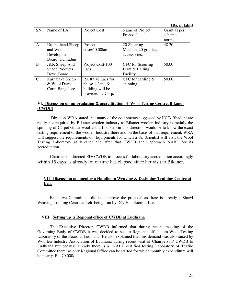**(Rs. in lakh)** 

| SN          | Name of I.A.          | Project Cost       | Name of Project      | Grant as per |
|-------------|-----------------------|--------------------|----------------------|--------------|
|             |                       |                    | Proposal             | scheme       |
|             |                       |                    |                      | norms        |
| A           | Uttarakhand Sheep     | Project            | 20 Shearing          | 48.20        |
|             | and Wool              | $cost = 50.00$ lac | Machine, 20 grinder, |              |
|             | Development           |                    | accessories,         |              |
|             | Board, Dehradun       |                    |                      |              |
| B           | J&K Sheep And         | Project Cost-100   | CFC for Scouring     | 50.00        |
|             | <b>Sheep Products</b> | Lacs               | Plant & Bailing      |              |
|             | Deve. Board           |                    | Facility             |              |
| $\mathbf C$ | Karnataka Sheep       | Rs. 87.78 Lacs for | CFC for carding $\&$ | 50.00        |
|             | & Wool Deve.          | phase 1, land $&$  | spinning             |              |
|             | Corp. Bangalore       | building will be   |                      |              |
|             |                       | provided by Corp.  |                      |              |

#### **VI. Discussion on up-gradation & accreditation of Wool Testing Centre, Bikaner (CWDB)**

 Director/ WRA stated that many of the equipments suggested by IICT/ Bhadohi are really not required by Bikaner woolen industry as Bikaner woolen industry is mainly the spinning of Carpet Grade wool and a first step in this direction would be to know the exact testing requirement of the woolen Industry there and on the basis of that requirement, WRA will suggest the requirements of Equipments for which a Sr. Scientist will visit the Wool Testing Laboratory at Bikaner and after that CWDB shall approach NABL for its accreditation.

Chairperson directed ED/ CWDB to process for laboratory accreditation accordingly within 15 days as already lot of time has elapsed since her visit to Bikaner.

#### **VII Discussion on opening a Handloom Weaving & Designing Training Centre at Leh.**

Executive Committee did not approve the proposal as there is already a Shawl Weaving Training Centre at Leh being run by DC/ Handloom office.

#### **VIII. Setting up a Regional office of CWDB at Ludhiana**

The Executive Director, CWDB informed that during recent meeting of the Governing Body of CWDB it was decided to set up Regional office-cum-Wool Testing Laboratory of the Board at Ludhiana. He also explained that this demand was also raised by Woollen Industry Association of Ludhiana during recent visit of Chairperson/ CWDB to Ludhiana but because already there is a NABL certified testing Laboratory of Textile Committee there, so only Regional Office can be started for which monthly expenditure will be nearly Rs. 70,000/- .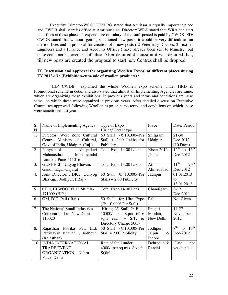Executive Director/WOOLTEXPRO stated that Amritsar is equally important place and CWDB shall start its office at Amritsar also. Director/ WRA stated that WRA can start its offices at these places if expenditure on salary of the staff posted is paid by CWDB. ED/ CWDB stated that without getting sanctioned new posts, it would be very difficult to run these offices and a proposal for creation of 5 new posts ( 2 Veterinary Doctors, 2 Textiles Engineers and a Finance and Accounts Officer ) have already been sent to Ministry but these could not be sanctioned till date. After detailed discussion it was decided that, till new posts are created the proposal to start new Centres shall be dropped.

#### **IX. Discussion and approval for organizing Woollen Expos at different places during FY 2012-13 : (Exhibition-cum-sale of woollen products) :**

 ED/ CWDB explained the whole Woollen expo scheme under HRD & Promotional scheme in detail and also stated that almost all Implementing Agencies are same, which are organizing these exhibitions in previous years and terms and conditions are also same on which these were organized in previous years. After detailed discussion Executive Committee approved following Woollen expo on same terms and conditions on which these were sanctioned last year.

| S.          | Name of Implementing Agency    | Type of Expo                | Place        | Date/ Period                         |
|-------------|--------------------------------|-----------------------------|--------------|--------------------------------------|
| $\mathbf N$ |                                | Hiring/Total expo           |              |                                      |
| 1.          | Director, West Zone Cultural   | 50 Stall (@10,000/-Per      | Shilgram,    | $21-30$                              |
|             | Centre, Ministry of Cultural,  | Stall + 2.00 Lakhs for      | Udaipur.     | Dec.2012                             |
|             | Govt of India, Udaipur. (Raj.) | Publicity                   |              | $(10 \text{ Days})$                  |
| 2.          | Punyashlok<br>Ahilyadevi       | Total Expo 14.00 Lakhs      | $Kisan-2012$ | $12^{\text{th}}$ to $16^{\text{th}}$ |
|             | Maharasthra<br>Mahamandal      |                             | , Pune       | Dec-2012                             |
|             | Limited, Pune-411016           |                             |              |                                      |
| 3.          | GUSHEEL, Udyog Bhavan,         | Total Expo 14.00 Lakhs      | At           | $11^{\text{th}}$<br>$-20th$          |
|             | Gandhinagar-Gujarat            |                             | Ahmedabad    | Dec-2012                             |
| 4.          | Joint Director, , DIC, Udhyog  | 50 Stall @ 10,000/-Per      | Jadhpur      | 01.01.2013                           |
|             | Bhavan, , Jodhpur. (Raj.)      | $Stall$ ) + 2.00 Publicity  |              | to                                   |
|             |                                |                             |              | 13.01.2013                           |
| 5.          | CEO, HPWOOLFED Shimla-         | Total Expo 14.00 Lacs       | Chandigarh   | $3-12$                               |
|             | 171009 (H.P.)                  |                             |              | Dec-2011                             |
| 6.          | GM, DIC, Pali (Raj.)           | 50 Stall for Hire Expo      | Pali         | Not Given                            |
|             |                                | (@ 10,000/-Per Stall)       |              |                                      |
| 7.          | The National Small Industries  | Hiring 25 Stall @ Rs        | Pragati      | $14 - 27$                            |
|             | Corporation Ltd, New Delhi-    | 10500/- per Sqmt of 6       | Maidan,      | November-                            |
|             | 110020                         | sqm each $+$ S.T. &         | New Delhi    | 2012                                 |
|             |                                | Directory Charge 500/-      |              |                                      |
| 8.          | Rajasthan Patrika Pvt. Ltd,    | 50 Stall (@10,000/-Per      | Jodhpur,     | $8^{th}$ to $16^{th}$                |
|             | Patrikayan Bhavan, , Jodhpur.  | $Stall + 2.00$ Publicity    | Jaipur<br>&  | Dec-2012                             |
|             | (Rajasthan)                    |                             | Indore       |                                      |
| 10          | <b>INDIA INTERNATIONAL</b>     | Rate of Stall under         | Dehradun &   | Date<br>not                          |
|             | <b>TRADE EVENT</b>             | 4000/- per sq mts. Size $9$ | Ranchi       | yet decided                          |
|             | ORGANIZATION, , Nehru          | <b>SQM</b>                  |              |                                      |
|             | Place, Delhi                   |                             |              |                                      |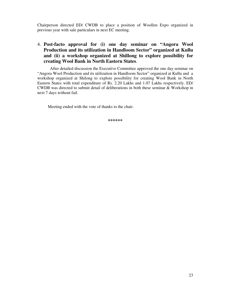Chairperson directed ED/ CWDB to place a position of Woollen Expo organized in previous year with sale particulars in next EC meeting.

## 4. **Post-facto approval for (i) one day seminar on "Angora Wool Production and its utilization in Handloom Sector" organized at Kullu and (ii) a workshop organized at Shillong to explore possibility for creating Wool Bank in North Eastern States**.

 After detailed discussion the Executive Committee approved the one day seminar on "Angora Wool Production and its utilization in Handloom Sector" organized at Kullu and a workshop organized at Shilong to explore possibility for creating Wool Bank in North Eastern States with total expenditure of Rs. 2.20 Lakhs and 1.07 Lakhs respectively. ED/ CWDB was directed to submit detail of deliberations in both these seminar & Workshop in next 7 days without fail.

Meeting ended with the vote of thanks to the chair.

**\*\*\*\*\*\***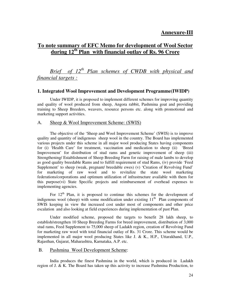## **Annexure-III**

## **To note summary of EFC Memo for development of Wool Sector during 12th Plan with financial outlay of Rs. 96 Crore**

 *Brief of 12th Plan schemes of CWDB with physical and financial targets :*

#### **1. Integrated Wool Improvement and Development Programme(IWIDP)**

 Under IWIDP, it is proposed to implement different schemes for improving quantity and quality of wool produced from sheep, Angora rabbit, Pashmina goat and providing training to Sheep Breeders, weavers, resource persons etc. along with promotional and marketing support activities.

#### A. Sheep & Wool Improvement Scheme: (SWIS)

 The objective of the 'Sheep and Wool Improvement Scheme' (SWIS) is to improve quality and quantity of indigenous sheep wool in the country. The Board has implemented various projects under this scheme in all major wool producing States having components for (i) 'Health Care' for treatment, vaccination and medication to sheep (ii) 'Breed Improvement' for distribution of stud rams and genetic improvement of sheep (iii) Strengthening/ Establishment of Sheep Breeding Farm for raising of male lambs to develop as good quality breedable Rams and to fulfill requirement of stud Rams, (iv) provide 'Feed Supplement' to sheep (weak, pregnant/ breedable ewes) (v) 'Creation of Revolving Fund' for marketing of raw wool and to revitalize the state wool marketing federations/corporations and optimum utilization of infrastructure available with them for this purpose(vi) State Specific projects and reimbursement of overhead expenses to implementing agencies.

For  $12<sup>th</sup>$  Plan, it is proposed to continue this schemes for the development of indigenous wool (sheep) with some modification under existing  $11<sup>th</sup>$  Plan components of SWIS keeping in view the increased cost under most of components and other price escalation and also looking at field experiences during implementation of past Plan.

 Under modified scheme, proposed the targets to benefit 28 lakh sheep, to establish/strengthen 10 Sheep Breeding Farms for breed improvement, distribution of 3,000 stud rams, Feed Supplement to 75,000 sheep of Ladakh region, creation of Revolving Fund for marketing raw wool with total financial outlay of Rs. 31 Crore. This scheme would be implemented in all major wool producing States like J. & K., H.P., Uttarakhand, U.P., Rajasthan, Gujarat, Maharashtra, Karnataka, A.P. etc.

#### B. Pashmina Wool Development Scheme:

 India produces the finest Pashmina in the world, which is produced in Ladakh region of J. & K. The Board has taken up this activity to increase Pashmina Production, to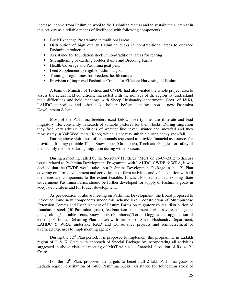increase income from Pashmina wool to the Pashmina rearers and to sustain their interest in this activity as a reliable means of livelihood with following components :

- Buck Exchange Programme in traditional areas
- Distribution of high quality Pashmina bucks in non-traditional areas to enhance Pashmina production
- Assistance for foundation stock in non-traditional areas for rearing
- Strengthening of existing Fodder Banks and Breeding Farms
- Health Coverage and Pashmina goat pens
- Feed Supplement to eligible pashmina goat
- Training programmes for breeders, health camps
- Provision of improved Pashmina Combs for Efficient Harvesting of Pashmina

A team of Ministry of Textiles and CWDB had also visited the whole project area to assess the actual field conditions, interacted with the nomads of the region to understand their difficulties and held meetings with Sheep Husbandry department (Govt. of J&K), LAHDC authorities and other stake holders before deciding upon a new Pashmina Development Scheme.

 Most of the Pashmina breeders exist below poverty line, are illiterate and lead migratory life, constantly in search of suitable pastures for their flocks. During migration they face very adverse conditions of weather like severe winter and snowfall and they mostly stay in Yak Wool tents ( Rebo) which is not very suitable during heavy snowfall.

 During above visit, most of the nomads requested to provide financial assistance for providing folding/ portable Tents, Snow-boots (Gumboots), Torch and Goggles for safety of their family members during migration during winter season.

 During a meeting called by the Secretary (Textiles), MOT on 26-09-2012 to discuss issues related to Pashmina Development Programme with LAHDC, CWDB & WRA, it was decided that the CWDB would take up a Pashmina Development Package in the  $12<sup>th</sup>$  Plan covering on farm development and activities, post-farm activities and value addition with all the necessary components to the extent feasible. It was also decided that existing State Government Pashmina Farms should be further developed for supply of Pashmina goats in adequate numbers and for fodder development.

 As per decision of above meeting on Pashmina Development, the Board proposed to introduce some new components under this scheme like : construction of Multipurpose Extension Centres and Establishment of Pasture Farms on migratory routes, distribution of foundation stock (50 Pashmina goats), feed/nutrient supplement during severe cold, goats pens, folding/ portable Tents, Snow-boots (Gumboots),Torch, Goggles and upgradation of existing Pashmina Dehairing Plan at Leh with the help of Sheep Husbandry Department, LAHDC & WRA, undertake R&D and Consultancy projects and reimbursement of overhead expenses to implementing agency.

During the  $12<sup>th</sup>$  Plan period, it is proposed to implement this programme in Ladakh region of J. & K. State with approach of Special Package by incorporating all activities suggested in above visit and meeting of MOT with total financial allocation of Rs. 41.21 Crore.

For the  $12<sup>th</sup>$  Plan, proposed the targets to benefit all 2 lakh Pashmina goats of Ladakh region, distribution of 1400 Pashmina bucks, assistance for foundation stock of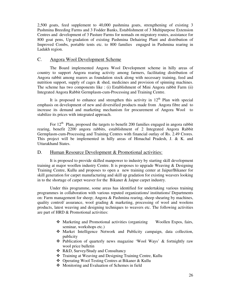2,500 goats, feed supplement to 40,000 pashmina goats, strengthening of existing 3 Pashmina Breeding Farms and 3 Fodder Banks, Establishment of 3 Multipurpose Extension Centres and development of 3 Pasture Farms for nomads on migratory routes, assistance for 800 goat pens, Up-gradation of existing Pashmina Dehairing Plant and distribution of Improved Combs, portable tents etc. to 800 families engaged in Pashmina rearing in Ladakh region.

#### C. Angora Wool Development Scheme

 The Board implemented Angora Wool Development scheme in hilly areas of country to support Angora rearing activity among farmers, facilitating distribution of Angora rabbit among rearers as foundation stock along with necessary training, feed and nutrition support, supply of cages  $\&$  shed, medicines and provision of spinning machines. The scheme has two components like : (i) Establishment of Mini Angora rabbit Farm (ii) Integrated Angora Rabbit Germplasm-cum-Processing and Training Centre.

It is proposed to enhance and strengthen this activity in  $12<sup>th</sup>$  Plan with special emphasis on development of new and diversified products made from Angora fibre and to increase its demand and marketing mechanism for procurement of Angora Wool to stabilize its prices with integrated approach.

For  $12<sup>th</sup>$  Plan, proposed the targets to benefit 200 families engaged in angora rabbit rearing, benefit 2200 angora rabbits, establishment of 2 Integrated Angora Rabbit Germplasm-cum-Processing and Training Centres with financial outlay of Rs. 2.49 Crores. This project will be implemented in hilly areas of Himachal Pradesh, J. & K. and Uttarakhand States.

#### D. Human Resource Development & Promotional activities:

 It is proposed to provide skilled manpower to industry by starting skill development training at major woollen industry Centre. It is proposes to upgrade Weaving & Designing Training Centre, Kullu and proposes to open a new training center at Jaipur/Bikaner for skill generation for carpet manufacturing and skill up gradation for existing weavers looking in to the shortage of carpet weaver for the Bikaner & Jaipur carpet industry.

 Under this programme, some areas has identified for undertaking various training programmes in collaboration with various reputed organizations/ institutions/ Departments on: Farm management for sheep; Angora & Pashmina rearing, sheep shearing by machines, quality control/ assurance, wool grading & marketing, processing of wool and woolens products, latest weaving and designing techniques to weavers etc. The following activities are part of HRD & Promotional activities:

- Marketing and Promotional activities (organizing Woollen Expos, fairs, seminar, workshops etc.)
- Market Intelligence Network and Publicity campaign, data collection, publicity
- Publication of quarterly news magazine 'Wool Ways' & fortnightly raw wool price bulletin
- R&D, Survey/Study and Consultancy
- Training at Weaving and Designing Training Centre, Kullu
- Operating Wool Testing Centres at Bikaner & Kullu
- Monitoring and Evaluation of Schemes in field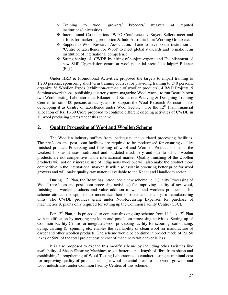- Training to wool growers/ breeders/ weavers at reputed institutions/universities
- International Co-operation/ IWTO Conferences / Buyers-Sellers meet and efforts for marketing promotion & Indo Australia Joint Working Group etc.
- Support to Wool Research Association, Thane to develop the institution as 'Centre of Excellence for Wool' to meet global standards and to make it an institution of international competence
- Strengthening of CWDB by hiring of subject experts and Establishment of new Skill Upgradation centre at wool potential areas like Jaipur/ Bikaner (Raj.).

Under HRD & Promotional Activities, proposed the targets to impart training to 1,200 persons, sponsoring short term training courses for providing training to 240 persons, organize 36 Woollen Expos (exhibition-cum-sale of woollen products), 4 R&D Projects, 5 Seminars/workshops, publishing quarterly news-magazine Wool-ways, to run Board's own two Wool Testing Laboratories at Bikaner and Kullu, one Weaving & Designing Training Centres to train 100 persons annually, and to support the Wool Research Association for developing it as Centre of Excellence under Wool Sector. For the  $12<sup>th</sup>$  Plan, financial allocation of Rs. 16.30 Crore proposed to continue different ongoing activities of CWDB in all wool producing States under this scheme.

#### **2. Quality Processing of Wool and Woollen Scheme**

The Woollen industry suffers from inadequate and outdated processing facilities. The pre-loom and post-loom facilities are required to be modernized for ensuring quality finished product. Processing and finishing of wool and Woollen Product is one of the weakest link as it uses traditional and outdated machinery and due to which woolen products are not competitive in the international market. Quality finishing of the woollen products will not only increase use of indigenous wool but will also make the product more competitive in the international market. It will also assist in procuring better price for wool growers and will make quality raw material available to the Khadi and Handloom sector.

During  $11<sup>th</sup>$  Plan, the Board has introduced a new scheme i.e. "Quality Processing of Wool" (pre-loom and post-loom processing activities) for improving quality of raw wool, finishing of woolen products and value addition to wool and woolens products. This scheme attracts the spinners to modernize their obsolete and small yarn-manufacturing units. The CWDB provides grant under Non-Recurring Expenses for purchase of machineries & plants only required for setting up the Common Facility Centre (CFC).

For  $12<sup>th</sup>$  Plan, it is proposed to continue this ongoing scheme from  $11<sup>th</sup>$  to  $12<sup>th</sup>$  Plan with modification by merging pre-loom and post loom processing activities. Setting up of Common Facility Centre for integrated wool processing facility for scouring, carbonizing, dying, carding & spinning etc. enables the availability of clean wool for manufacture of carpet and other woollen products. The scheme would be continue in project mode of Rs. 50 lakhs or 50% of the total project cost or cost of machinery whichever is less.

 It is also proposed to expand this modify scheme by including other facilities like availability of Sheep Shearing Machines to get better staple length of fibre from sheep and establishing/ strengthening of Wool Testing Laboratories to conduct testing at minimal cost for improving quality of products at major wool potential areas to help wool growers and wool industrialist under Common Facility Centres of this scheme.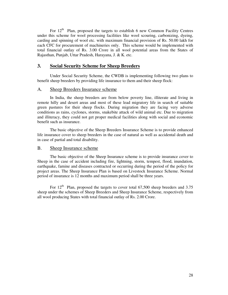For  $12<sup>th</sup>$  Plan, proposed the targets to establish 6 new Common Facility Centres under this scheme for wool processing facilities like wool scouring, carbonizing, dyeing, carding and spinning of wool etc. with maximum financial provision of Rs. 50.00 lakh for each CFC for procurement of machineries only. This scheme would be implemented with total financial outlay of Rs. 3.00 Crore in all wool potential areas from the States of Rajasthan, Punjab, Uttar Pradesh, Harayana, J. & K. etc.

#### **3. Social Security Scheme for Sheep Breeders**

 Under Social Security Scheme, the CWDB is implementing following two plans to benefit sheep breeders by providing life insurance to them and their sheep flock:

#### A. Sheep Breeders Insurance scheme

 In India, the sheep breeders are from below poverty line, illiterate and living in remote hilly and desert areas and most of these lead migratory life in search of suitable green pastures for their sheep flocks. During migration they are facing very adverse conditions as rains, cyclones, storms, snakebite attack of wild animal etc. Due to migration and illiteracy, they could not get proper medical facilities along with social and economic benefit such as insurance.

 The basic objective of the Sheep Breeders Insurance Scheme is to provide enhanced life insurance cover to sheep breeders in the case of natural as well as accidental death and in case of partial and total disability.

#### B. Sheep Insurance scheme

 The basic objective of the Sheep Insurance scheme is to provide insurance cover to Sheep in the case of accident including fire, lightning, storm, tempest, flood, inundation, earthquake, famine and diseases contracted or occurring during the period of the policy for project areas. The Sheep Insurance Plan is based on Livestock Insurance Scheme. Normal period of insurance is 12 months and maximum period shall be three years.

For  $12<sup>th</sup>$  Plan, proposed the targets to cover total 67,500 sheep breeders and 3.75 sheep under the schemes of Sheep Breeders and Sheep Insurance Scheme, respectively from all wool producing States with total financial outlay of Rs. 2.00 Crore.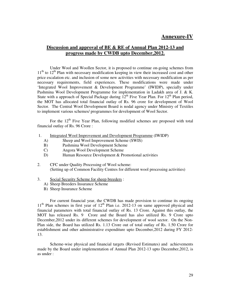## **Annexure-IV**

### **Discussion and approval of BE & RE of Annual Plan 2012-13 and progress made by CWDB upto December,2012.**

 Under Wool and Woollen Sector, it is proposed to continue on-going schemes from  $11<sup>th</sup>$  to  $12<sup>th</sup>$  Plan with necessary modification keeping in view their increased cost and other price escalation etc. and inclusion of some new activities with necessary modification as per necessary requirements, field experiences. These modifications were made under 'Integrated Wool Improvement & Development Programme' (IWIDP), specially under Pashmina Wool Development Programme for implementation in Ladakh area of J. & K. State with a approach of Special Package during  $12<sup>th</sup>$  Five Year Plan. For  $12<sup>th</sup>$  Plan period, the MOT has allocated total financial outlay of Rs. 96 crore for development of Wool Sector. The Central Wool Development Board is nodal agency under Ministry of Textiles to implement various schemes/ programmes for development of Wool Sector.

For the  $12<sup>th</sup>$  Five Year Plan, following modified schemes are proposed with total financial outlay of Rs. 96 Crore :

- 1. Integrated Wool Improvement and Development Programme (IWIDP)
	- A) Sheep and Wool Improvement Scheme (SWIS)
	- B) Pashmina Wool Development Scheme
	- C) Angora Wool Development Scheme
	- D) Human Resource Development & Promotional activities
- 2. CFC under Quality Processing of Wool scheme: (Setting up of Common Facility Centres for different wool processing activities)
- 3. Social Security Scheme for sheep breeders :
	- A) Sheep Breeders Insurance Scheme
	- B) Sheep Insurance Scheme

 For current financial year, the CWDB has made provision to continue its ongoing  $11<sup>th</sup>$  Plan schemes in first year of  $12<sup>th</sup>$  Plan i.e. 2012-13 on same approved physical and financial parameters with total financial outlay of Rs. 13 Crore. Against this outlay, the MOT has released Rs. 9 Crore and the Board has also utilized Rs. 9 Crore upto December,2012 under its different schemes for development of wool sector. On the Non-Plan side, the Board has utilized Rs. 1.13 Crore out of total outlay of Rs. 1.50 Crore for establishment and other administrative expenditure upto December,2012 during FY 2012- 13.

Scheme-wise physical and financial targets (Revised Estimates) and achievements made by the Board under implementation of Annual Plan 2012-13 upto December,2012, is as under :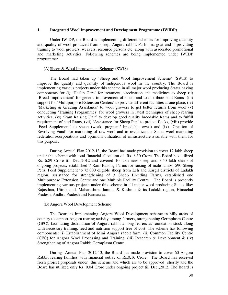#### **1. Integrated Wool Improvement and Development Programme (IWIDP)**

 Under IWIDP, the Board is implementing different schemes for improving quantity and quality of wool produced from sheep, Angora rabbit, Pashmina goat and is providing training to wool growers, weavers, resource persons etc. along with associated promotional and marketing activities. Following schemes are being implemented under IWIDP programme:

#### (A)Sheep & Wool Improvement Scheme: (SWIS)

 The Board had taken up 'Sheep and Wool Improvement Scheme' (SWIS) to improve the quality and quantity of indigenous wool in the country. The Board is implementing various projects under this scheme in all major wool producing States having components for (i) 'Health Care' for treatment, vaccination and medicines to sheep (ii) 'Breed Improvement' for genetic improvement of sheep and to distribute stud Rams (iii) support for 'Multipurpose Extension Centers' to provide different facilities at one place, (iv) 'Marketing & Grading Assistance' to wool growers to get better returns from wool (v) conducting 'Training Programmes' for wool growers in latest techniques of sheep rearing activities, (vi) 'Ram Raising Unit' to develop good quality breedable Rams and to fulfill requirement of stud Rams, (vii) 'Assistance for Sheep Pen' to protect flocks, (viii) provide 'Feed Supplement' to sheep (weak, pregnant/ breedable ewes) and (ix) 'Creation of Revolving Fund' for marketing of raw wool and to revitalize the States wool marketing federations/corporations and optimum utilization of infrastructure available with them for this purpose.

 During Annual Plan 2012-13, the Board has made provision to cover 12 lakh sheep under the scheme with total financial allocation of Rs. 8.30 Crore. The Board has utilized Rs. 6.89 Crore till Dec.,2012 and covered 10 lakh new sheep and 3.50 lakh sheep of ongoing projects, established 7 Ram Raising Farms for raising of male lambs, 590 Sheep Pens, Feed Supplement to 75,000 eligible sheep from Leh and Kargil districts of Ladakh region, assistance for strengthening of 3 Sheep Breeding Farms, established one Multipurpose Extension Centre and one Multiple Facility Centre. The Board is presently implementing various projects under this scheme in all major wool producing States like: Rajasthan, Uttrakhand, Maharashtra, Jammu & Kashmir & its Ladakh region, Himachal Pradesh, Andhra Pradesh and Karnataka.

#### (B) Angora Wool Development Scheme

The Board is implementing Angora Wool Development scheme in hilly areas of country to support Angora rearing activity among farmers, strengthening Germplasm Centre (GPC), facilitating distribution of Angora rabbit among rearers as foundation stock along with necessary training, feed and nutrition support free of cost. The scheme has following components: (i) Establishment of Mini Angora rabbit farm, (ii) Common Facility Centre (CFC) for Angora Wool Processing and Training, (iii) Research & Development & (iv) Strengthening of Angora Rabbit Germplasm Centre.

 During Annual Plan 2012-13, the Board has made provision to cover 60 Angora Rabbit rearing families with financial outlay of Rs.0.16 Crore. The Board has received fresh project proposals under this scheme and which are to be approved shortly and the Board has utilized only Rs. 0.04 Crore under ongoing project till Dec.,2012. The Board is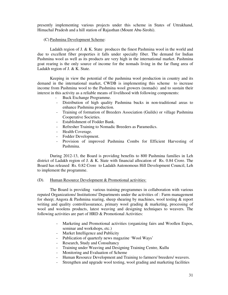presently implementing various projects under this scheme in States of Uttrakhand, Himachal Pradesh and a hill station of Rajasthan (Mount Abu-Sirohi).

#### (C) Pashmina Development Scheme:

 Ladakh region of J. & K. State produces the finest Pashmina wool in the world and due to excellent fiber properties it falls under specialty fiber. The demand for Indian Pashmina wool as well as its products are very high in the international market. Pashmina goat rearing is the only source of income for the nomads living in the far flung area of Ladakh region of J. & K. State.

 Keeping in view the potential of the pashmina wool production in country and its demand in the international market, CWDB is implementing this scheme to increase income from Pashmina wool to the Pashmina wool growers (nomads) and to sustain their interest in this activity as a reliable means of livelihood with following components:

- Buck Exchange Programme.
- Distribution of high quality Pashmina bucks in non-traditional areas to enhance Pashmina production.
- Training of formation of Breeders Association (Guilds) or village Pashmina Cooperative Societies.
- Establishment of Fodder Bank.
- Refresher Training to Nomadic Breeders as Paramedics.
- Health Coverage.
- Fodder Development.
- Provision of improved Pashmina Combs for Efficient Harvesting of Pashmina.

During 2012-13, the Board is providing benefits to 800 Pashmina families in Leh district of Ladakh region of J. & K. State with financial allocation of Rs. 0.84 Crore. The Board has released Rs. 0.82 Crore to Ladakh Autonomous Hill Development Council, Leh to implement the programme.

#### (D). Human Resource Development & Promotional activities:

 The Board is providing various training programmes in collaboration with various reputed Organizations/ Institutions/ Departments under the activities of : Farm management for sheep; Angora & Pashmina rearing, sheep shearing by machines, wool testing & report writing and quality control/assurance, primary wool grading & marketing, processing of wool and woolens products, latest weaving and designing techniques to weavers. The following activities are part of HRD & Promotional Activities:

- Marketing and Promotional activities (organizing fairs and Woollen Expos, seminar and workshops, etc.)
- Market Intelligence and Publicity
- Publication of quarterly news magazine 'Wool Ways'
- Research, Study and Consultancy
- Training under Weaving and Designing Training Centre, Kullu
- Monitoring and Evaluation of Scheme
- Human Resource Development and Training to farmers/ breeders/ weavers.
- Strengthen and upgrade wool testing, wool grading and marketing facilities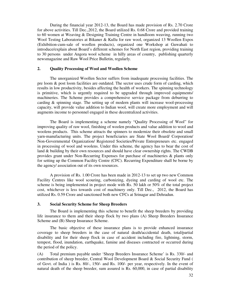During the financial year 2012-13, the Board has made provision of Rs. 2.70 Crore for above activities. Till Dec.,2012, the Board utilized Rs. 0.68 Crore and provided training to 60 women at Weaving & Designing Training Centre in handloom weaving, running two Wool Testing Laboratories at Bikaner & Kullu for raw wool, organized 13 Woollen Expos (Exhibition-cum-sale of woollen products), organized one Workshop at Guwahati to introduce/explain about Board's different schemes for North East region, providing training to 30 persons under Angora wool scheme in hilly areas of country, publishing quarterly newsmagazine and Raw Wool Price Bulletin, regularly.

#### **2. Quality Processing of Wool and Woollen Scheme**

 The unorganized Woollen Sector suffers from inadequate processing facilities. The pre loom & post loom facilities are outdated. The sector uses crude form of carding, which results in low productivity, besides affecting the health of workers. The spinning technology is primitive, which is urgently required to be upgraded through improved equipments/ machineries. The Scheme provides a comprehensive service package from deburring to carding & spinning stage. The setting up of modern plants will increase wool-processing capacity, will provide value addition to Indian wool, will create more employment and will augments income to personnel engaged in these decentralized activities.

 The Board is implementing a scheme namely "Quality Processing of Wool" for improving quality of raw wool, finishing of woolen products and value addition to wool and woolens products. This scheme attracts the spinners to modernize their obsolete and small yarn-manufacturing units. The project beneficiaries are State Wool Board/ Corporation/ Non-Governmental Organization/ Registered Societies/Private Entrepreneurs etc. engaged in processing of wool and woolens. Under this scheme, the agency has to bear the cost of land & building by their own resources and should have clear ownership rights. The CWDB provides grant under Non-Recurring Expenses for purchase of machineries & plants only for setting up the Common Facility Centre (CFC). Recurring Expenditure shall be borne by the agency/ association out of its own resources.

 A provision of Rs. 1.00 Crore has been made in 2012-13 to set up two new Common Facility Centres like wool scouring, carbonizing, dyeing and carding of wool etc. The scheme is being implemented in project mode with Rs. 50 lakh or 50% of the total project cost, whichever is less towards cost of machinery only. Till Dec., 2012, the Board has utilized Rs. 0.59 Crore and sanctioned both new CFCs at Srinagar and Dehradun.

#### **3. Social Security Scheme for Sheep Breeders**

The Board is implementing this scheme to benefit the sheep breeders by providing life insurance to them and their sheep flock by two plans (A) Sheep Breeders Insurance Scheme and (B) Sheep Insurance Scheme.

The basic objective of these insurance plans is to provide enhanced insurance coverage to sheep breeders in the case of natural death/accidental death, total/partial disability and for their sheep flock in case of accident including fire, lightning, storm, tempest, flood, inundation, earthquake, famine and diseases contracted or occurred during the period of the policy.

(A) Total premium payable under 'Sheep Breeders Insurance Scheme' is Rs. 330/- and contribution of sheep breeder, Central Wool Development Board & Social Security Fund ( of Govt. of India ) is Rs. 80/-, 150/- and Rs. 100/- per year, respectively. In the event of natural death of the sheep breeder, sum assured is Rs. 60,000, in case of partial disability